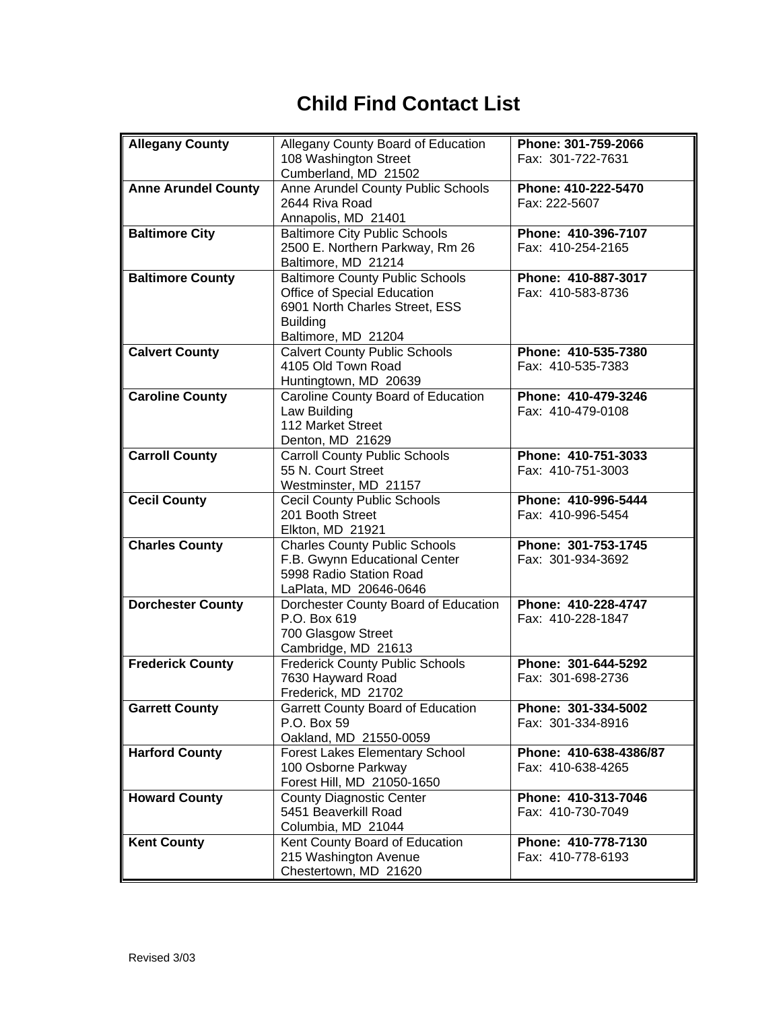## **Child Find Contact List**

| <b>Allegany County</b>     |                                          | Phone: 301-759-2066    |
|----------------------------|------------------------------------------|------------------------|
|                            | Allegany County Board of Education       | Fax: 301-722-7631      |
|                            | 108 Washington Street                    |                        |
|                            | Cumberland, MD 21502                     |                        |
| <b>Anne Arundel County</b> | Anne Arundel County Public Schools       | Phone: 410-222-5470    |
|                            | 2644 Riva Road                           | Fax: 222-5607          |
|                            | Annapolis, MD 21401                      |                        |
| <b>Baltimore City</b>      | <b>Baltimore City Public Schools</b>     | Phone: 410-396-7107    |
|                            | 2500 E. Northern Parkway, Rm 26          | Fax: 410-254-2165      |
|                            | Baltimore, MD 21214                      |                        |
| <b>Baltimore County</b>    | <b>Baltimore County Public Schools</b>   | Phone: 410-887-3017    |
|                            | Office of Special Education              | Fax: 410-583-8736      |
|                            | 6901 North Charles Street, ESS           |                        |
|                            | <b>Building</b>                          |                        |
|                            | Baltimore, MD 21204                      |                        |
| <b>Calvert County</b>      | <b>Calvert County Public Schools</b>     | Phone: 410-535-7380    |
|                            | 4105 Old Town Road                       | Fax: 410-535-7383      |
|                            | Huntingtown, MD 20639                    |                        |
| <b>Caroline County</b>     | Caroline County Board of Education       | Phone: 410-479-3246    |
|                            | Law Building                             | Fax: 410-479-0108      |
|                            | 112 Market Street                        |                        |
|                            | Denton, MD 21629                         |                        |
| <b>Carroll County</b>      | <b>Carroll County Public Schools</b>     | Phone: 410-751-3033    |
|                            | 55 N. Court Street                       | Fax: 410-751-3003      |
|                            | Westminster, MD 21157                    |                        |
| <b>Cecil County</b>        | <b>Cecil County Public Schools</b>       | Phone: 410-996-5444    |
|                            | 201 Booth Street                         | Fax: 410-996-5454      |
|                            | Elkton, MD 21921                         |                        |
| <b>Charles County</b>      | <b>Charles County Public Schools</b>     | Phone: 301-753-1745    |
|                            | F.B. Gwynn Educational Center            | Fax: 301-934-3692      |
|                            | 5998 Radio Station Road                  |                        |
|                            | LaPlata, MD 20646-0646                   |                        |
| <b>Dorchester County</b>   | Dorchester County Board of Education     | Phone: 410-228-4747    |
|                            | P.O. Box 619                             | Fax: 410-228-1847      |
|                            | 700 Glasgow Street                       |                        |
|                            | Cambridge, MD 21613                      |                        |
| <b>Frederick County</b>    | <b>Frederick County Public Schools</b>   | Phone: 301-644-5292    |
|                            | 7630 Hayward Road                        | Fax: 301-698-2736      |
|                            | Frederick, MD 21702                      |                        |
| <b>Garrett County</b>      | <b>Garrett County Board of Education</b> | Phone: 301-334-5002    |
|                            | P.O. Box 59                              | Fax: 301-334-8916      |
|                            | Oakland, MD 21550-0059                   |                        |
| <b>Harford County</b>      | <b>Forest Lakes Elementary School</b>    | Phone: 410-638-4386/87 |
|                            | 100 Osborne Parkway                      | Fax: 410-638-4265      |
|                            | Forest Hill, MD 21050-1650               |                        |
| <b>Howard County</b>       | <b>County Diagnostic Center</b>          | Phone: 410-313-7046    |
|                            | 5451 Beaverkill Road                     | Fax: 410-730-7049      |
|                            | Columbia, MD 21044                       |                        |
| <b>Kent County</b>         | Kent County Board of Education           | Phone: 410-778-7130    |
|                            | 215 Washington Avenue                    | Fax: 410-778-6193      |
|                            |                                          |                        |